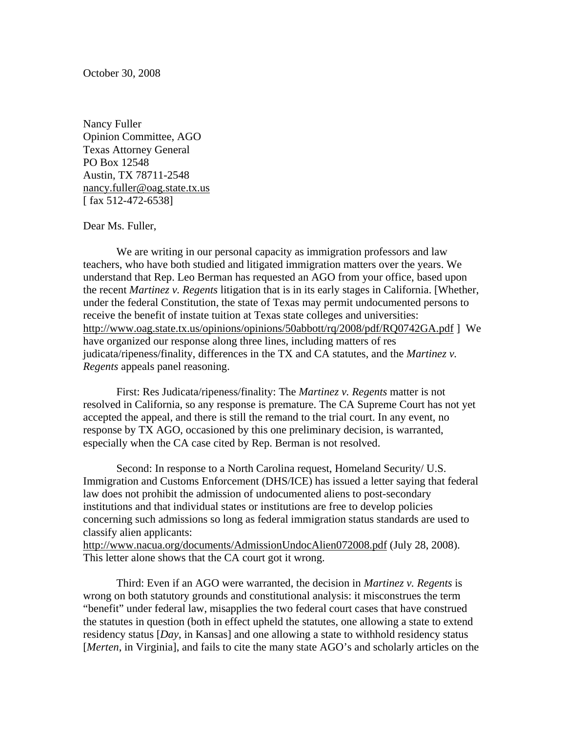October 30, 2008

Nancy Fuller Opinion Committee, AGO Texas Attorney General PO Box 12548 Austin, TX 78711-2548 nancy.fuller@oag.state.tx.us [ fax 512-472-6538]

## Dear Ms. Fuller,

We are writing in our personal capacity as immigration professors and law teachers, who have both studied and litigated immigration matters over the years. We understand that Rep. Leo Berman has requested an AGO from your office, based upon the recent *Martinez v. Regents* litigation that is in its early stages in California. [Whether, under the federal Constitution, the state of Texas may permit undocumented persons to receive the benefit of instate tuition at Texas state colleges and universities: http://www.oag.state.tx.us/opinions/opinions/50abbott/rq/2008/pdf/RQ0742GA.pdf ] We have organized our response along three lines, including matters of res judicata/ripeness/finality, differences in the TX and CA statutes, and the *Martinez v. Regents* appeals panel reasoning.

First: Res Judicata/ripeness/finality: The *Martinez v. Regents* matter is not resolved in California, so any response is premature. The CA Supreme Court has not yet accepted the appeal, and there is still the remand to the trial court. In any event, no response by TX AGO, occasioned by this one preliminary decision, is warranted, especially when the CA case cited by Rep. Berman is not resolved.

Second: In response to a North Carolina request, Homeland Security/ U.S. Immigration and Customs Enforcement (DHS/ICE) has issued a letter saying that federal law does not prohibit the admission of undocumented aliens to post-secondary institutions and that individual states or institutions are free to develop policies concerning such admissions so long as federal immigration status standards are used to classify alien applicants:

http://www.nacua.org/documents/AdmissionUndocAlien072008.pdf (July 28, 2008). This letter alone shows that the CA court got it wrong.

Third: Even if an AGO were warranted, the decision in *Martinez v. Regents* is wrong on both statutory grounds and constitutional analysis: it misconstrues the term "benefit" under federal law, misapplies the two federal court cases that have construed the statutes in question (both in effect upheld the statutes, one allowing a state to extend residency status [*Day*, in Kansas] and one allowing a state to withhold residency status [*Merten*, in Virginia], and fails to cite the many state AGO's and scholarly articles on the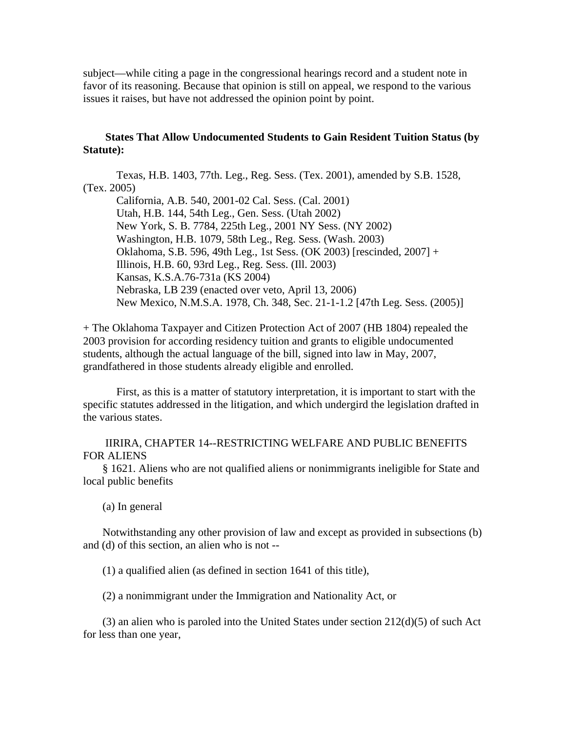subject—while citing a page in the congressional hearings record and a student note in favor of its reasoning. Because that opinion is still on appeal, we respond to the various issues it raises, but have not addressed the opinion point by point.

## **States That Allow Undocumented Students to Gain Resident Tuition Status (by Statute):**

 Texas, H.B. 1403, 77th. Leg., Reg. Sess. (Tex. 2001), amended by S.B. 1528, (Tex. 2005) California, A.B. 540, 2001-02 Cal. Sess. (Cal. 2001) Utah, H.B. 144, 54th Leg., Gen. Sess. (Utah 2002) New York, S. B. 7784, 225th Leg., 2001 NY Sess. (NY 2002) Washington, H.B. 1079, 58th Leg., Reg. Sess. (Wash. 2003) Oklahoma, S.B. 596, 49th Leg., 1st Sess. (OK 2003) [rescinded, 2007] + Illinois, H.B. 60, 93rd Leg., Reg. Sess. (Ill. 2003) Kansas, K.S.A.76-731a (KS 2004) Nebraska, LB 239 (enacted over veto, April 13, 2006) New Mexico, N.M.S.A. 1978, Ch. 348, Sec. 21-1-1.2 [47th Leg. Sess. (2005)]

+ The Oklahoma Taxpayer and Citizen Protection Act of 2007 (HB 1804) repealed the 2003 provision for according residency tuition and grants to eligible undocumented students, although the actual language of the bill, signed into law in May, 2007, grandfathered in those students already eligible and enrolled.

 First, as this is a matter of statutory interpretation, it is important to start with the specific statutes addressed in the litigation, and which undergird the legislation drafted in the various states.

 IIRIRA, CHAPTER 14--RESTRICTING WELFARE AND PUBLIC BENEFITS FOR ALIENS

 § 1621. Aliens who are not qualified aliens or nonimmigrants ineligible for State and local public benefits

(a) In general

 Notwithstanding any other provision of law and except as provided in subsections (b) and (d) of this section, an alien who is not --

(1) a qualified alien (as defined in section 1641 of this title),

(2) a nonimmigrant under the Immigration and Nationality Act, or

(3) an alien who is paroled into the United States under section  $212(d)(5)$  of such Act for less than one year,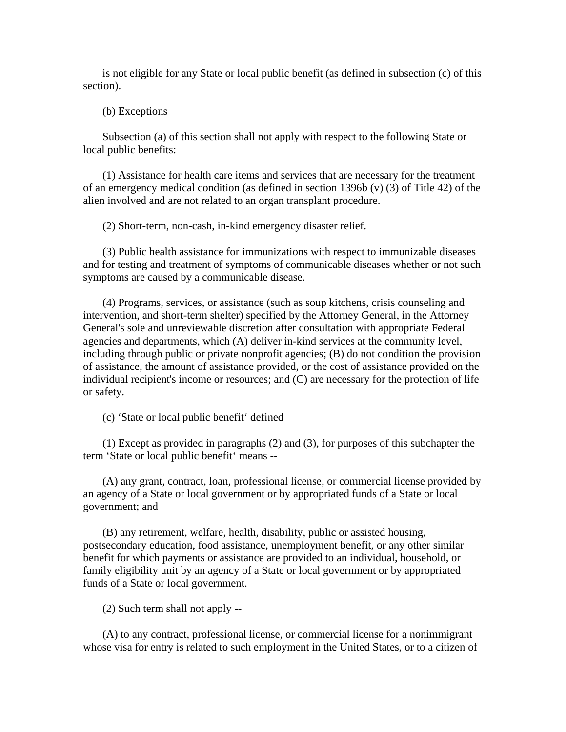is not eligible for any State or local public benefit (as defined in subsection (c) of this section).

(b) Exceptions

 Subsection (a) of this section shall not apply with respect to the following State or local public benefits:

 (1) Assistance for health care items and services that are necessary for the treatment of an emergency medical condition (as defined in section 1396b (v) (3) of Title 42) of the alien involved and are not related to an organ transplant procedure.

(2) Short-term, non-cash, in-kind emergency disaster relief.

 (3) Public health assistance for immunizations with respect to immunizable diseases and for testing and treatment of symptoms of communicable diseases whether or not such symptoms are caused by a communicable disease.

 (4) Programs, services, or assistance (such as soup kitchens, crisis counseling and intervention, and short-term shelter) specified by the Attorney General, in the Attorney General's sole and unreviewable discretion after consultation with appropriate Federal agencies and departments, which (A) deliver in-kind services at the community level, including through public or private nonprofit agencies; (B) do not condition the provision of assistance, the amount of assistance provided, or the cost of assistance provided on the individual recipient's income or resources; and (C) are necessary for the protection of life or safety.

(c) 'State or local public benefit' defined

 (1) Except as provided in paragraphs (2) and (3), for purposes of this subchapter the term 'State or local public benefit' means --

 (A) any grant, contract, loan, professional license, or commercial license provided by an agency of a State or local government or by appropriated funds of a State or local government; and

 (B) any retirement, welfare, health, disability, public or assisted housing, postsecondary education, food assistance, unemployment benefit, or any other similar benefit for which payments or assistance are provided to an individual, household, or family eligibility unit by an agency of a State or local government or by appropriated funds of a State or local government.

(2) Such term shall not apply --

 (A) to any contract, professional license, or commercial license for a nonimmigrant whose visa for entry is related to such employment in the United States, or to a citizen of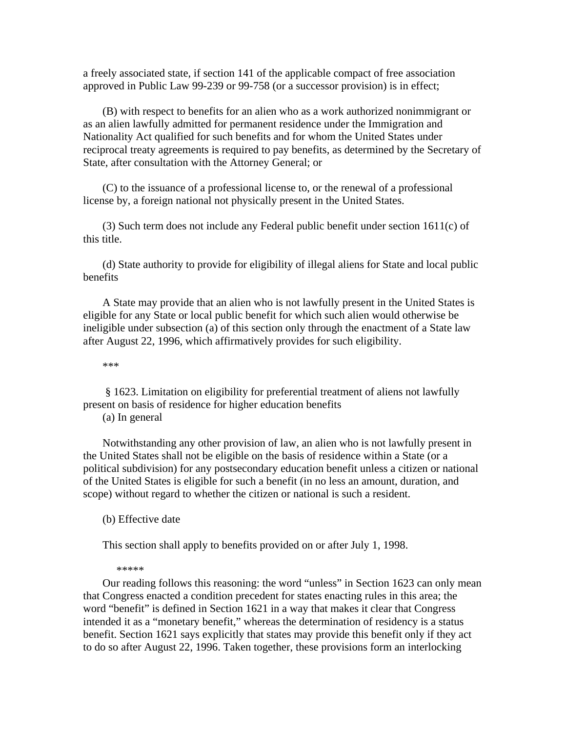a freely associated state, if section 141 of the applicable compact of free association approved in Public Law 99-239 or 99-758 (or a successor provision) is in effect;

 (B) with respect to benefits for an alien who as a work authorized nonimmigrant or as an alien lawfully admitted for permanent residence under the Immigration and Nationality Act qualified for such benefits and for whom the United States under reciprocal treaty agreements is required to pay benefits, as determined by the Secretary of State, after consultation with the Attorney General; or

 (C) to the issuance of a professional license to, or the renewal of a professional license by, a foreign national not physically present in the United States.

 (3) Such term does not include any Federal public benefit under section 1611(c) of this title.

 (d) State authority to provide for eligibility of illegal aliens for State and local public benefits

 A State may provide that an alien who is not lawfully present in the United States is eligible for any State or local public benefit for which such alien would otherwise be ineligible under subsection (a) of this section only through the enactment of a State law after August 22, 1996, which affirmatively provides for such eligibility.

\*\*\*

 § 1623. Limitation on eligibility for preferential treatment of aliens not lawfully present on basis of residence for higher education benefits

(a) In general

 Notwithstanding any other provision of law, an alien who is not lawfully present in the United States shall not be eligible on the basis of residence within a State (or a political subdivision) for any postsecondary education benefit unless a citizen or national of the United States is eligible for such a benefit (in no less an amount, duration, and scope) without regard to whether the citizen or national is such a resident.

(b) Effective date

This section shall apply to benefits provided on or after July 1, 1998.

\*\*\*\*\*

 Our reading follows this reasoning: the word "unless" in Section 1623 can only mean that Congress enacted a condition precedent for states enacting rules in this area; the word "benefit" is defined in Section 1621 in a way that makes it clear that Congress intended it as a "monetary benefit," whereas the determination of residency is a status benefit. Section 1621 says explicitly that states may provide this benefit only if they act to do so after August 22, 1996. Taken together, these provisions form an interlocking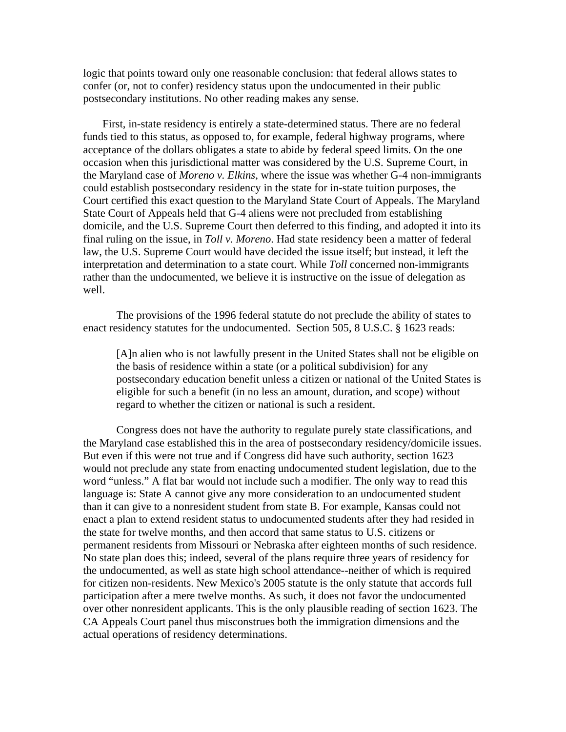logic that points toward only one reasonable conclusion: that federal allows states to confer (or, not to confer) residency status upon the undocumented in their public postsecondary institutions. No other reading makes any sense.

 First, in-state residency is entirely a state-determined status. There are no federal funds tied to this status, as opposed to, for example, federal highway programs, where acceptance of the dollars obligates a state to abide by federal speed limits. On the one occasion when this jurisdictional matter was considered by the U.S. Supreme Court, in the Maryland case of *Moreno v. Elkins*, where the issue was whether G-4 non-immigrants could establish postsecondary residency in the state for in-state tuition purposes, the Court certified this exact question to the Maryland State Court of Appeals. The Maryland State Court of Appeals held that G-4 aliens were not precluded from establishing domicile, and the U.S. Supreme Court then deferred to this finding, and adopted it into its final ruling on the issue, in *Toll v. Moreno*. Had state residency been a matter of federal law, the U.S. Supreme Court would have decided the issue itself; but instead, it left the interpretation and determination to a state court. While *Toll* concerned non-immigrants rather than the undocumented, we believe it is instructive on the issue of delegation as well.

The provisions of the 1996 federal statute do not preclude the ability of states to enact residency statutes for the undocumented. Section 505, 8 U.S.C. § 1623 reads:

[A]n alien who is not lawfully present in the United States shall not be eligible on the basis of residence within a state (or a political subdivision) for any postsecondary education benefit unless a citizen or national of the United States is eligible for such a benefit (in no less an amount, duration, and scope) without regard to whether the citizen or national is such a resident.

Congress does not have the authority to regulate purely state classifications, and the Maryland case established this in the area of postsecondary residency/domicile issues. But even if this were not true and if Congress did have such authority, section 1623 would not preclude any state from enacting undocumented student legislation, due to the word "unless." A flat bar would not include such a modifier. The only way to read this language is: State A cannot give any more consideration to an undocumented student than it can give to a nonresident student from state B. For example, Kansas could not enact a plan to extend resident status to undocumented students after they had resided in the state for twelve months, and then accord that same status to U.S. citizens or permanent residents from Missouri or Nebraska after eighteen months of such residence. No state plan does this; indeed, several of the plans require three years of residency for the undocumented, as well as state high school attendance--neither of which is required for citizen non-residents. New Mexico's 2005 statute is the only statute that accords full participation after a mere twelve months. As such, it does not favor the undocumented over other nonresident applicants. This is the only plausible reading of section 1623. The CA Appeals Court panel thus misconstrues both the immigration dimensions and the actual operations of residency determinations.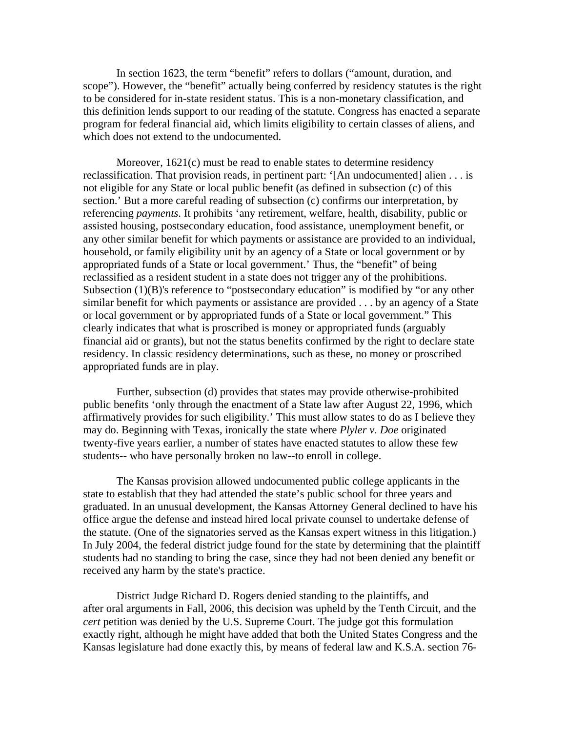In section 1623, the term "benefit" refers to dollars ("amount, duration, and scope"). However, the "benefit" actually being conferred by residency statutes is the right to be considered for in-state resident status. This is a non-monetary classification, and this definition lends support to our reading of the statute. Congress has enacted a separate program for federal financial aid, which limits eligibility to certain classes of aliens, and which does not extend to the undocumented.

Moreover, 1621(c) must be read to enable states to determine residency reclassification. That provision reads, in pertinent part: '[An undocumented] alien . . . is not eligible for any State or local public benefit (as defined in subsection (c) of this section.' But a more careful reading of subsection (c) confirms our interpretation, by referencing *payments*. It prohibits 'any retirement, welfare, health, disability, public or assisted housing, postsecondary education, food assistance, unemployment benefit, or any other similar benefit for which payments or assistance are provided to an individual, household, or family eligibility unit by an agency of a State or local government or by appropriated funds of a State or local government.' Thus, the "benefit" of being reclassified as a resident student in a state does not trigger any of the prohibitions. Subsection (1)(B)'s reference to "postsecondary education" is modified by "or any other similar benefit for which payments or assistance are provided . . . by an agency of a State or local government or by appropriated funds of a State or local government." This clearly indicates that what is proscribed is money or appropriated funds (arguably financial aid or grants), but not the status benefits confirmed by the right to declare state residency. In classic residency determinations, such as these, no money or proscribed appropriated funds are in play.

Further, subsection (d) provides that states may provide otherwise-prohibited public benefits 'only through the enactment of a State law after August 22, 1996, which affirmatively provides for such eligibility.' This must allow states to do as I believe they may do. Beginning with Texas, ironically the state where *Plyler v. Doe* originated twenty-five years earlier, a number of states have enacted statutes to allow these few students-- who have personally broken no law--to enroll in college.

The Kansas provision allowed undocumented public college applicants in the state to establish that they had attended the state's public school for three years and graduated. In an unusual development, the Kansas Attorney General declined to have his office argue the defense and instead hired local private counsel to undertake defense of the statute. (One of the signatories served as the Kansas expert witness in this litigation.) In July 2004, the federal district judge found for the state by determining that the plaintiff students had no standing to bring the case, since they had not been denied any benefit or received any harm by the state's practice.

District Judge Richard D. Rogers denied standing to the plaintiffs, and after oral arguments in Fall, 2006, this decision was upheld by the Tenth Circuit, and the *cert* petition was denied by the U.S. Supreme Court. The judge got this formulation exactly right, although he might have added that both the United States Congress and the Kansas legislature had done exactly this, by means of federal law and K.S.A. section 76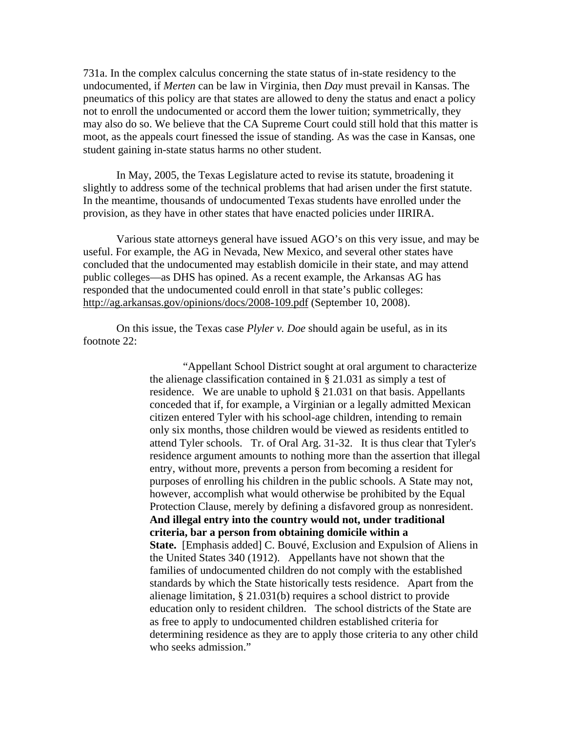731a. In the complex calculus concerning the state status of in-state residency to the undocumented, if *Merten* can be law in Virginia, then *Day* must prevail in Kansas. The pneumatics of this policy are that states are allowed to deny the status and enact a policy not to enroll the undocumented or accord them the lower tuition; symmetrically, they may also do so. We believe that the CA Supreme Court could still hold that this matter is moot, as the appeals court finessed the issue of standing. As was the case in Kansas, one student gaining in-state status harms no other student.

In May, 2005, the Texas Legislature acted to revise its statute, broadening it slightly to address some of the technical problems that had arisen under the first statute. In the meantime, thousands of undocumented Texas students have enrolled under the provision, as they have in other states that have enacted policies under IIRIRA.

Various state attorneys general have issued AGO's on this very issue, and may be useful. For example, the AG in Nevada, New Mexico, and several other states have concluded that the undocumented may establish domicile in their state, and may attend public colleges—as DHS has opined. As a recent example, the Arkansas AG has responded that the undocumented could enroll in that state's public colleges: http://ag.arkansas.gov/opinions/docs/2008-109.pdf (September 10, 2008).

On this issue, the Texas case *Plyler v. Doe* should again be useful, as in its footnote 22:

> "Appellant School District sought at oral argument to characterize the alienage classification contained in § 21.031 as simply a test of residence. We are unable to uphold § 21.031 on that basis. Appellants conceded that if, for example, a Virginian or a legally admitted Mexican citizen entered Tyler with his school-age children, intending to remain only six months, those children would be viewed as residents entitled to attend Tyler schools. Tr. of Oral Arg. 31-32. It is thus clear that Tyler's residence argument amounts to nothing more than the assertion that illegal entry, without more, prevents a person from becoming a resident for purposes of enrolling his children in the public schools. A State may not, however, accomplish what would otherwise be prohibited by the Equal Protection Clause, merely by defining a disfavored group as nonresident. **And illegal entry into the country would not, under traditional criteria, bar a person from obtaining domicile within a State.** [Emphasis added] C. Bouvé, Exclusion and Expulsion of Aliens in the United States 340 (1912). Appellants have not shown that the families of undocumented children do not comply with the established standards by which the State historically tests residence. Apart from the alienage limitation, § 21.031(b) requires a school district to provide education only to resident children. The school districts of the State are as free to apply to undocumented children established criteria for determining residence as they are to apply those criteria to any other child who seeks admission."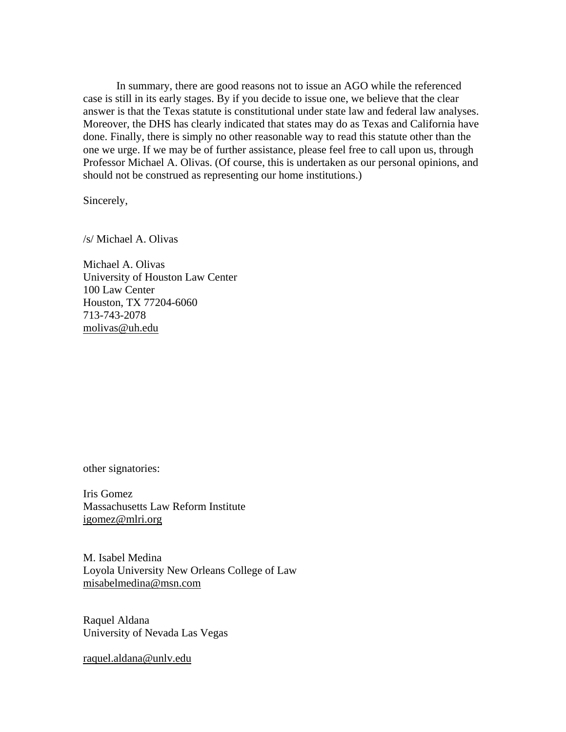In summary, there are good reasons not to issue an AGO while the referenced case is still in its early stages. By if you decide to issue one, we believe that the clear answer is that the Texas statute is constitutional under state law and federal law analyses. Moreover, the DHS has clearly indicated that states may do as Texas and California have done. Finally, there is simply no other reasonable way to read this statute other than the one we urge. If we may be of further assistance, please feel free to call upon us, through Professor Michael A. Olivas. (Of course, this is undertaken as our personal opinions, and should not be construed as representing our home institutions.)

Sincerely,

/s/ Michael A. Olivas

Michael A. Olivas University of Houston Law Center 100 Law Center Houston, TX 77204-6060 713-743-2078 molivas@uh.edu

other signatories:

Iris Gomez Massachusetts Law Reform Institute igomez@mlri.org

M. Isabel Medina Loyola University New Orleans College of Law misabelmedina@msn.com

Raquel Aldana University of Nevada Las Vegas

raquel.aldana@unlv.edu